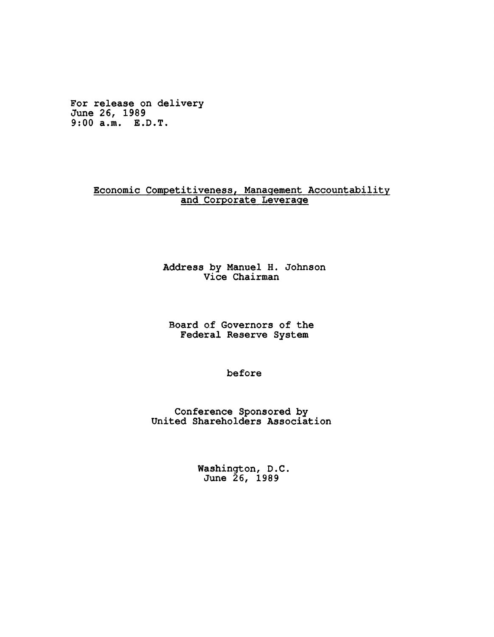**For release on delivery June 26, 1989 9:00 a.m. E.D.T.**

## **Economic Competitiveness, Management Accountability and Corporate Leverage**

## **Address by Manuel H. Johnson Vice Chairman**

**Board of Governors of the Federal Reserve System**

**before**

**Conference Sponsored by United Shareholders Association**

> **Washington, D .C . June 26, 1989**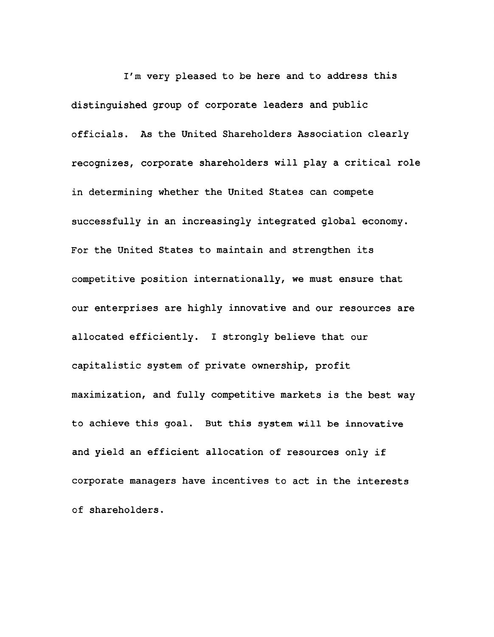I'm very pleased to be here and to address this distinguished group of corporate leaders and public officials. As the United Shareholders Association clearly recognizes, corporate shareholders will play a critical role in determining whether the United States can compete successfully in an increasingly integrated global economy. For the United States to maintain and strengthen its competitive position internationally, we must ensure that our enterprises are highly innovative and our resources are allocated efficiently. I strongly believe that our capitalistic system of private ownership, profit maximization, and fully competitive markets is the best way to achieve this goal. But this system will be innovative and yield an efficient allocation of resources only if corporate managers have incentives to act in the interests of shareholders.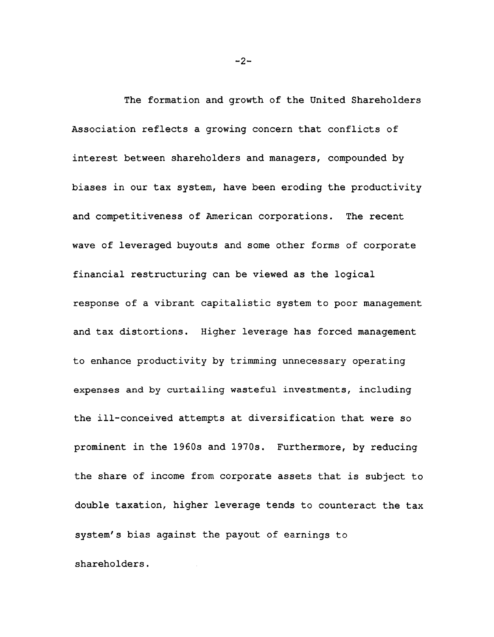**The formation and growth of the United Shareholders Association reflects a growing concern that conflicts of interest between shareholders and managers, compounded by biases in our tax system, have been eroding the productivity and competitiveness of American corporations. The recent wave of leveraged buyouts and some other forms of corporate financial restructuring can be viewed as the logical response of a vibrant capitalistic system to poor management and tax distortions. Higher leverage has forced management to enhance productivity by trimming unnecessary operating expenses and by curtailing wasteful investments, including the ill-conceived attempts at diversification that were so prominent in the 1960s and 1970s. Furthermore, by reducing the share of income from corporate assets that is subject to double taxation, higher leverage tends to counteract the tax system's bias against the payout of earnings to shareholders.**

**- 2 -**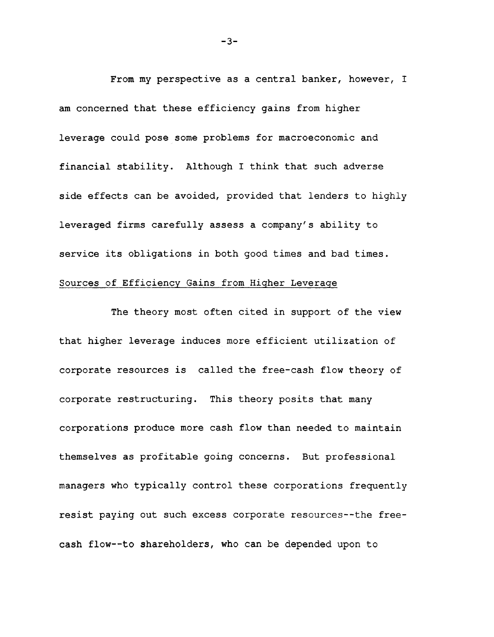From my perspective as a central banker, however, I am concerned that these efficiency gains from higher leverage could pose some problems for macroeconomic and financial stability. Although I think that such adverse side effects can be avoided, provided that lenders to highly leveraged firms carefully assess a company's ability to service its obligations in both good times and bad times.

## Sources of Efficiency Gains from Higher Leverage

The theory most often cited in support of the view that higher leverage induces more efficient utilization of corporate resources is called the free-cash flow theory of corporate restructuring. This theory posits that many corporations produce more cash flow than needed to maintain themselves as profitable going concerns. But professional managers who typically control these corporations frequently resist paying out such excess corporate resources--the freecash flow— to shareholders, who can be depended upon to

**- 3-**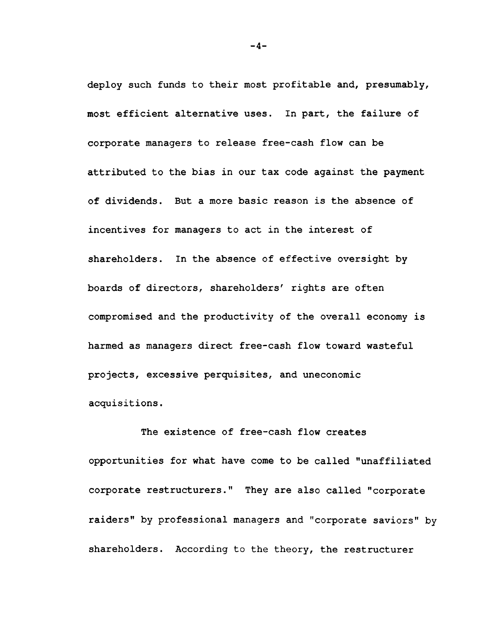**deploy such funds to their most profitable and, presumably, most efficient alternative uses. In part, the failure of corporate managers to release free-cash flow can be attributed to the bias in our tax code against the payment of dividends. But a more basic reason is the absence of incentives for managers to act in the interest of shareholders. In the absence of effective oversight by boards of directors, shareholders' rights are often compromised and the productivity of the overall economy is harmed as managers direct free-cash flow toward wasteful projects, excessive perquisites, and uneconomic acquisitions.**

**The existence of free-cash flow creates opportunities for what have come to be called "unaffiliated corporate restructurers." They are also called "corporate raiders" by professional managers and "corporate saviors" by shareholders. According to the theory, the restructurer**

**- 4-**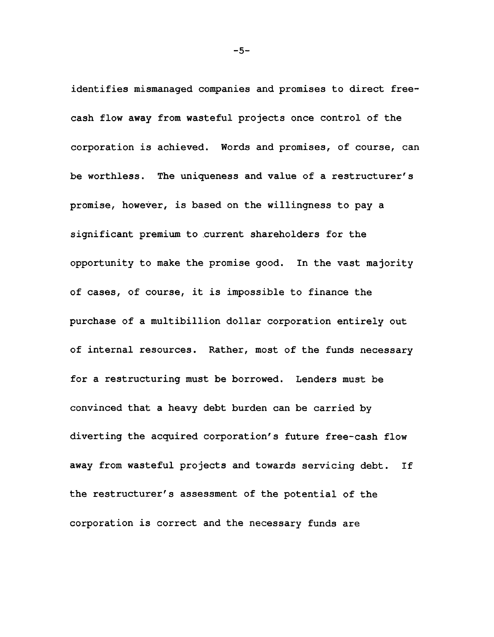**identifies mismanaged companies and promises to direct freecash flow away from wasteful projects once control of the corporation is achieved. Words and promises, of course, can be worthless. The uniqueness and value of a restructurer's promise, however, is based on the willingness to pay a significant premium to current shareholders for the opportunity to make the promise good. In the vast majority of cases, of course, it is impossible to finance the purchase of a multibillion dollar corporation entirely out of internal resources. Rather, most of the funds necessary for a restructuring must be borrowed. Lenders must be convinced that a heavy debt burden can be carried by diverting the acquired corporation's future free-cash flow away from wasteful projects and towards servicing debt. If the restructurer's assessment of the potential of the corporation is correct and the necessary funds are**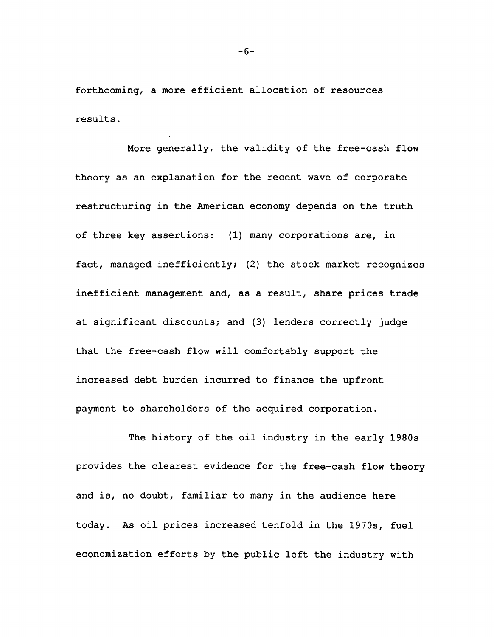**forthcoming, a more efficient allocation of resources results.**

**More generally, the validity of the free-cash flow theory as an explanation for the recent wave of corporate restructuring in the American economy depends on the truth of three key assertions: (1) many corporations are, in fact, managed inefficiently; (2) the stock market recognizes inefficient management and, as a result, share prices trade at significant discounts; and (3) lenders correctly judge that the free-cash flow will comfortably support the increased debt burden incurred to finance the upfront payment to shareholders of the acquired corporation.**

**The history of the oil industry in the early 1980s provides the clearest evidence for the free-cash flow theory and is, no doubt, familiar to many in the audience here today. As oil prices increased tenfold in the 1970s, fuel economization efforts by the public left the industry with**

**- 6-**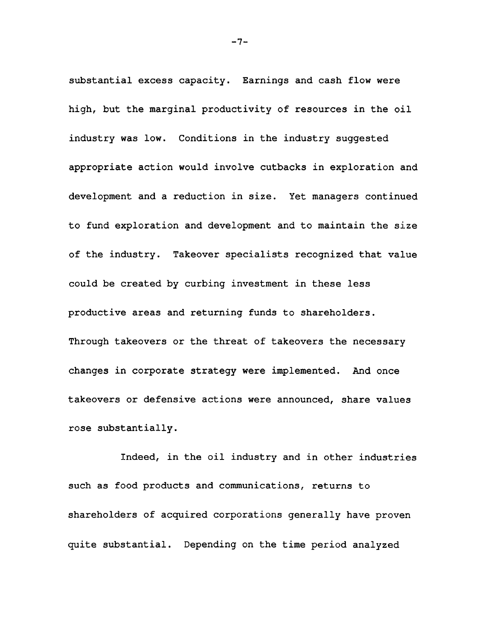substantial excess capacity. Earnings and cash flow were high, but the marginal productivity of resources in the oil industry was low. Conditions in the industry suggested appropriate action would involve cutbacks in exploration and development and a reduction in size. Yet managers continued to fund exploration and development and to maintain the size of the industry. Takeover specialists recognized that value could be created by curbing investment in these less productive areas and returning funds to shareholders. Through takeovers or the threat of takeovers the necessary changes in corporate strategy were implemented. And once takeovers or defensive actions were announced, share values rose substantially.

Indeed, in the oil industry and in other industries such as food products and communications, returns to shareholders of acquired corporations generally have proven quite substantial. Depending on the time period analyzed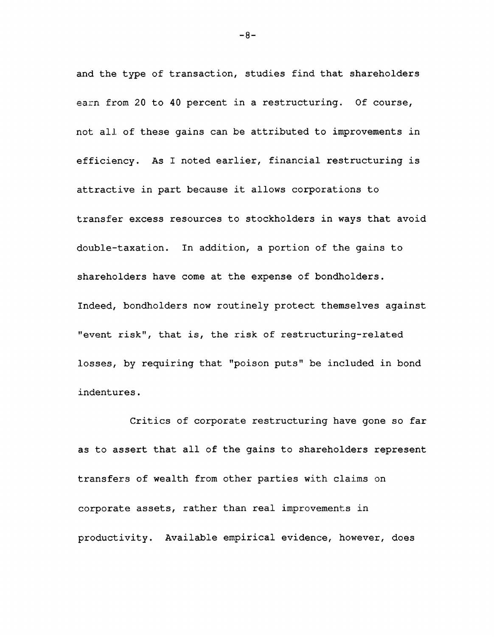and the type of transaction, studies find that shareholders earn from 20 to 40 percent in a restructuring. Of course, not all of these gains can be attributed to improvements in efficiency. As I noted earlier, financial restructuring is attractive in part because it allows corporations to transfer excess resources to stockholders in ways that avoid double-taxation. In addition, a portion of the gains to shareholders have come at the expense of bondholders. Indeed, bondholders now routinely protect themselves against "event risk", that is, the risk of restructuring-related losses, by requiring that "poison puts" be included in bond indentures.

Critics of corporate restructuring have gone so far as to assert that all of the gains to shareholders represent transfers of wealth from other parties with claims on corporate assets, rather than real improvements in productivity. Available empirical evidence, however, does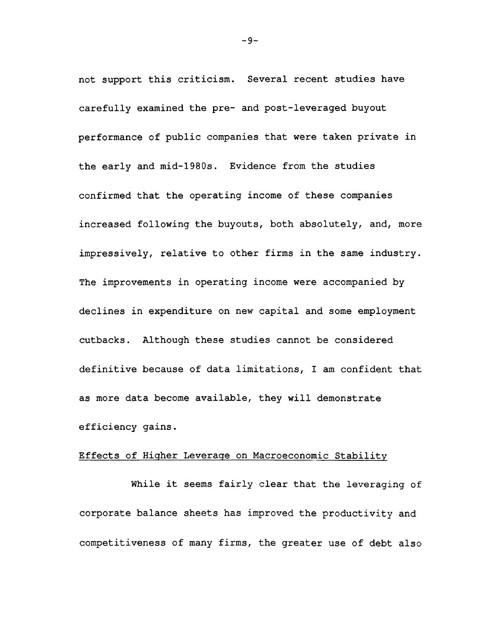not support this criticism. Several recent studies have carefully examined the pre- and post-leveraged buyout performance of public companies that were taken private in the early and mid-1980s. Evidence from the studies confirmed that the operating income of these companies increased following the buyouts, both absolutely, and, more impressively, relative to other firms in the same industry. The improvements in operating income were accompanied by declines in expenditure on new capital and some employment cutbacks. Although these studies cannot be considered definitive because of data limitations, I am confident that as more data become available, they will demonstrate efficiency gains.

#### **Effects of Higher Leverage on Macroeconomic Stability**

**While it seems fairly clear that the leveraging of corporate balance sheets has improved the productivity and competitiveness of many firms, the greater use of debt also**

 $-9-$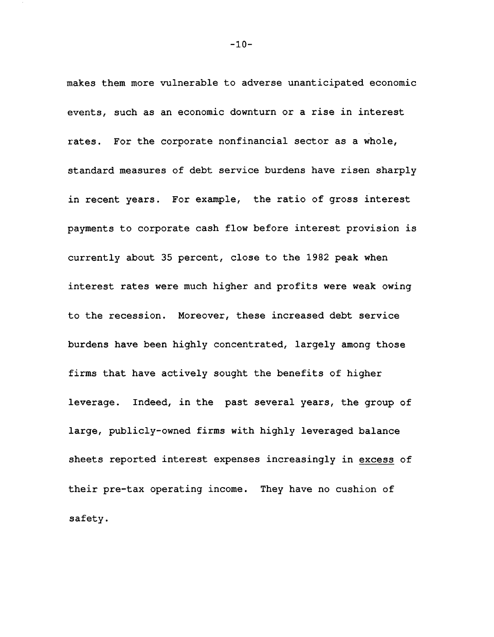makes them more vulnerable to adverse unanticipated economic events, such as an economic downturn or a rise in interest rates. For the corporate nonfinancial sector as a whole, standard measures of debt service burdens have risen sharply in recent years. For example, the ratio of gross interest payments to corporate cash flow before interest provision is currently about 35 percent, close to the 1982 peak when interest rates were much higher and profits were weak owing to the recession. Moreover, these increased debt service burdens have been highly concentrated, largely among those firms that have actively sought the benefits of higher leverage. Indeed, in the past several years, the group of large, publicly-owned firms with highly leveraged balance sheets reported interest expenses increasingly in excess of their pre-tax operating income. They have no cushion of safety.

 $-10-$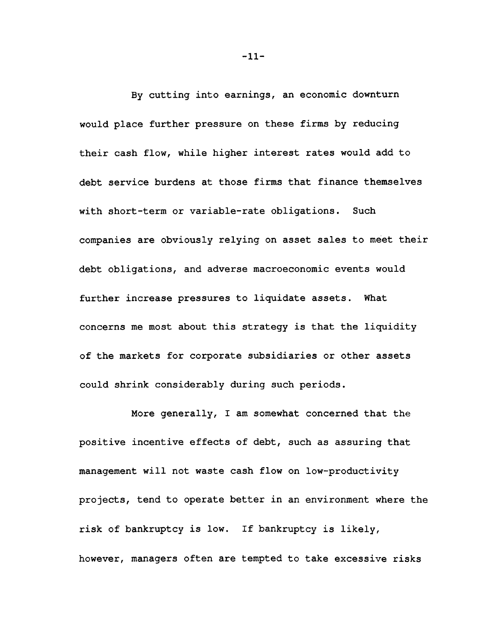By cutting into earnings, an economic downturn would place further pressure on these firms by reducing their cash flow, while higher interest rates would add to debt service burdens at those firms that finance themselves with short-term or variable-rate obligations. Such companies are obviously relying on asset sales to meet their debt obligations, and adverse macroeconomic events would further increase pressures to liquidate assets. What concerns me most about this strategy is that the liquidity of the markets for corporate subsidiaries or other assets could shrink considerably during such periods.

More generally, I am somewhat concerned that the positive incentive effects of debt, such as assuring that management will not waste cash flow on low-productivity projects, tend to operate better in an environment where the risk of bankruptcy is low. If bankruptcy is likely, however, managers often are tempted to take excessive risks

**- 11 -**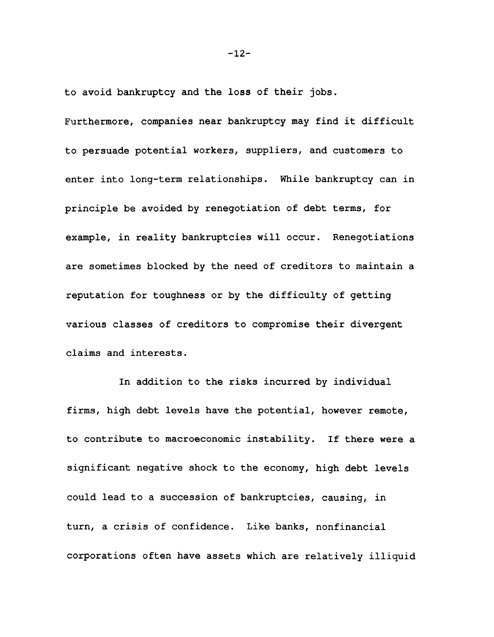to avoid bankruptcy and the loss of their jobs. Furthermore, companies near bankruptcy may find it difficult to persuade potential workers, suppliers, and customers to enter into long-term relationships. While bankruptcy can in principle be avoided by renegotiation of debt terms, for example, in reality bankruptcies will occur. Renegotiations are sometimes blocked by the need of creditors to maintain a reputation for toughness or by the difficulty of getting various classes of creditors to compromise their divergent claims and interests.

In addition to the risks incurred by individual firms, high debt levels have the potential, however remote, to contribute to macroeconomic instability. If there were a significant negative shock to the economy, high debt levels could lead to a succession of bankruptcies, causing, in turn, a crisis of confidence. Like banks, nonfinancial corporations often have assets which are relatively illiquid

**- 12 -**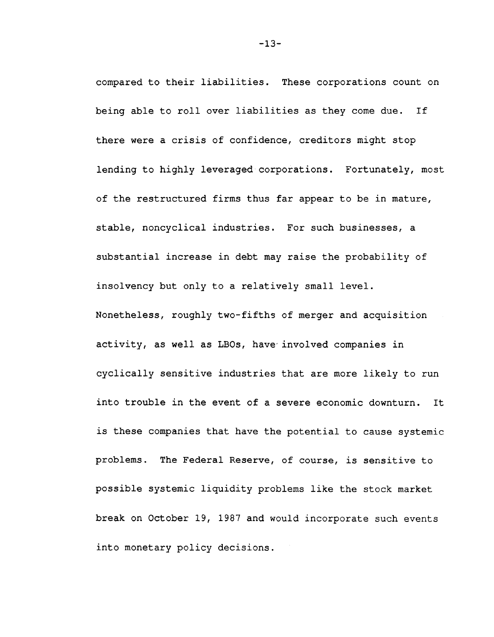compared to their liabilities. These corporations count on being able to roll over liabilities as they come due. If there were a crisis of confidence, creditors might stop lending to highly leveraged corporations. Fortunately, most of the restructured firms thus far appear to be in mature, stable, noncyclical industries. For such businesses, a substantial increase in debt may raise the probability of insolvency but only to a relatively small level. Nonetheless, roughly two-fifths of merger and acquisition activity, as well as LBOs, have' involved companies in cyclically sensitive industries that are more likely to run into trouble in the event of a severe economic downturn. It is these companies that have the potential to cause systemic problems. The Federal Reserve, of course, is sensitive to possible systemic liquidity problems like the stock market break on October 19, 1987 and would incorporate such events into monetary policy decisions.

**- 13-**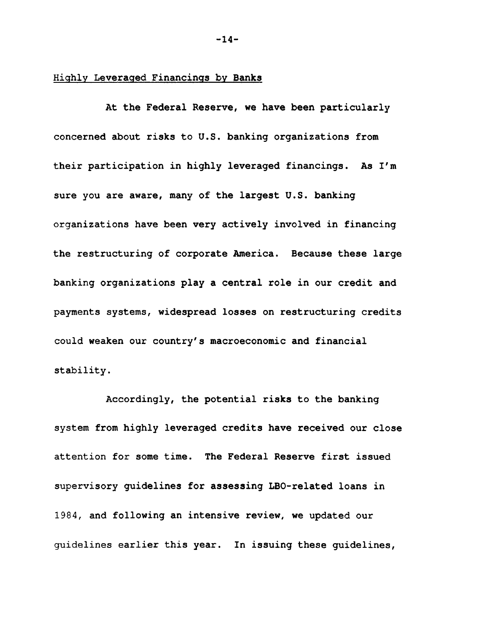## **Highly Leveraged Financings by Banks**

**At the Federal Reserve, we have been particularly concerned about risks to U.S. banking organizations from their participation in highly leveraged financings. As I'm sure you are aware, many of the largest U.S. banking organizations have been very actively involved in financing the restructuring of corporate America. Because these large banking organizations play a central role in our credit and payments systems, widespread losses on restructuring credits could weaken our country's macroeconomic and financial stability.**

**Accordingly, the potential risks to the banking system from highly leveraged credits have received our close attention for some time. The Federal Reserve first issued supervisory guidelines for assessing LBO-related loans in 1984, and following an intensive review, we updated our guidelines earlier this year. In issuing these guidelines,**

**- 14-**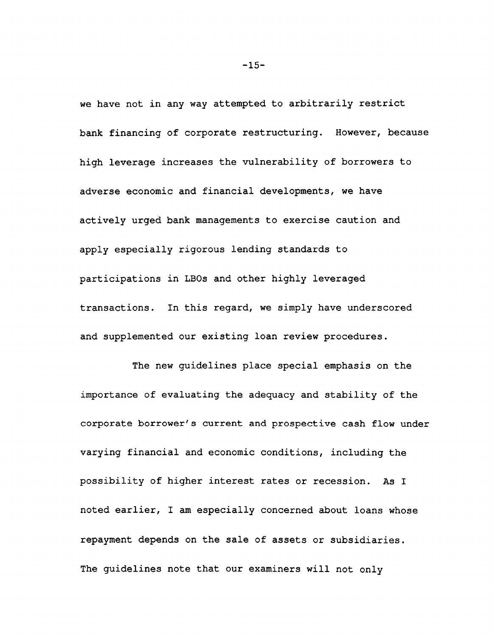we have not in any way attempted to arbitrarily restrict bank financing of corporate restructuring. However, because high leverage increases the vulnerability of borrowers to adverse economic and financial developments, we have actively urged bank managements to exercise caution and apply especially rigorous lending standards to participations in LBOs and other highly leveraged transactions. In this regard, we simply have underscored and supplemented our existing loan review procedures.

The new guidelines place special emphasis on the importance of evaluating the adequacy and stability of the corporate borrower's current and prospective cash flow under varying financial and economic conditions, including the possibility of higher interest rates or recession. As I noted earlier, I am especially concerned about loans whose repayment depends on the sale of assets or subsidiaries. The guidelines note that our examiners will not only

**- 15-**